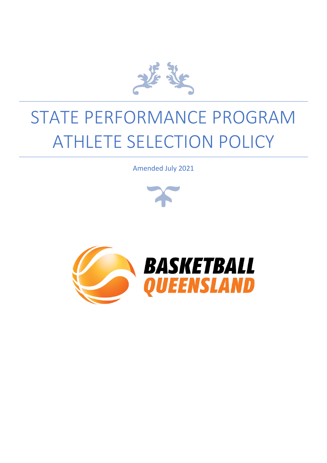

# STATE PERFORMANCE PROGRAM ATHLETE SELECTION POLICY

Amended July 2021





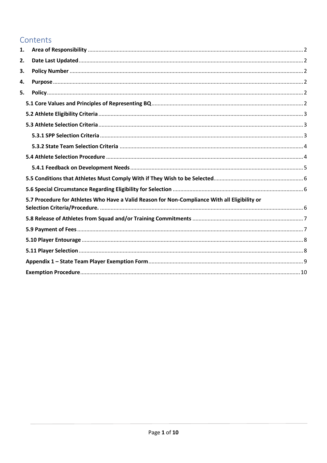# Contents

| 1. |                                                                                               |  |
|----|-----------------------------------------------------------------------------------------------|--|
| 2. |                                                                                               |  |
| 3. |                                                                                               |  |
| 4. |                                                                                               |  |
| 5. |                                                                                               |  |
|    |                                                                                               |  |
|    |                                                                                               |  |
|    |                                                                                               |  |
|    |                                                                                               |  |
|    |                                                                                               |  |
|    |                                                                                               |  |
|    |                                                                                               |  |
|    |                                                                                               |  |
|    |                                                                                               |  |
|    | 5.7 Procedure for Athletes Who Have a Valid Reason for Non-Compliance With all Eligibility or |  |
|    |                                                                                               |  |
|    |                                                                                               |  |
|    |                                                                                               |  |
|    |                                                                                               |  |
|    |                                                                                               |  |
|    |                                                                                               |  |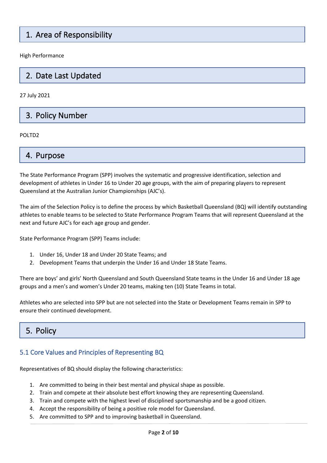# 1. Area of Responsibility

High Performance

# 2. Date Last Updated

27 July 2021

# 3. Policy Number

POLTD2

# 4. Purpose

The State Performance Program (SPP) involves the systematic and progressive identification, selection and development of athletes in Under 16 to Under 20 age groups, with the aim of preparing players to represent Queensland at the Australian Junior Championships (AJC's).

The aim of the Selection Policy is to define the process by which Basketball Queensland (BQ) will identify outstanding athletes to enable teams to be selected to State Performance Program Teams that will represent Queensland at the next and future AJC's for each age group and gender.

State Performance Program (SPP) Teams include:

- 1. Under 16, Under 18 and Under 20 State Teams; and
- 2. Development Teams that underpin the Under 16 and Under 18 State Teams.

There are boys' and girls' North Queensland and South Queensland State teams in the Under 16 and Under 18 age groups and a men's and women's Under 20 teams, making ten (10) State Teams in total.

Athletes who are selected into SPP but are not selected into the State or Development Teams remain in SPP to ensure their continued development.

# 5. Policy

#### <span id="page-2-0"></span>5.1 Core Values and Principles of Representing BQ

Representatives of BQ should display the following characteristics:

- 1. Are committed to being in their best mental and physical shape as possible.
- 2. Train and compete at their absolute best effort knowing they are representing Queensland.
- 3. Train and compete with the highest level of disciplined sportsmanship and be a good citizen.
- 4. Accept the responsibility of being a positive role model for Queensland.
- 5. Are committed to SPP and to improving basketball in Queensland.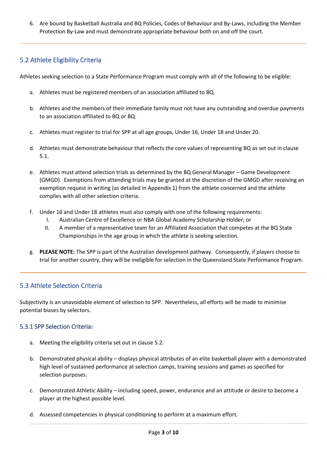6. Are bound by Basketball Australia and BQ Policies, Codes of Behaviour and By-Laws, including the Member Protection By-Law and must demonstrate appropriate behaviour both on and off the court.

# <span id="page-3-0"></span>5.2 Athlete Eligibility Criteria

Athletes seeking selection to a State Performance Program must comply with all of the following to be eligible:

- a. Athletes must be registered members of an association affiliated to BQ.
- b. Athletes and the members of their immediate family must not have any outstanding and overdue payments to an association affiliated to BQ or BQ.
- c. Athletes must register to trial for SPP at all age groups, Under 16, Under 18 and Under 20.
- d. Athletes must demonstrate behaviour that reflects the core values of representing BQ as set out in clause 5.1.
- e. Athletes must attend selection trials as determined by the BQ General Manager Game Development (GMGD). Exemptions from attending trials may be granted at the discretion of the GMGD after receiving an exemption request in writing (as detailed in Appendix 1) from the athlete concerned and the athlete complies with all other selection criteria.
- f. Under 16 and Under 18 athletes must also comply with one of the following requirements:
	- I. Australian Centre of Excellence or NBA Global Academy Scholarship Holder; or
	- II. A member of a representative team for an Affiliated Association that competes at the BQ State Championships in the age group in which the athlete is seeking selection.
- g. **PLEASE NOTE:** The SPP is part of the Australian development pathway. Consequently, if players choose to trial for another country, they will be ineligible for selection in the Queensland State Performance Program.

# <span id="page-3-1"></span>5.3 Athlete Selection Criteria

Subjectivity is an unavoidable element of selection to SPP. Nevertheless, all efforts will be made to minimise potential biases by selectors.

#### <span id="page-3-2"></span>5.3.1 SPP Selection Criteria**:**

- a. Meeting the eligibility criteria set out in clause 5.2.
- b. Demonstrated physical ability displays physical attributes of an elite basketball player with a demonstrated high level of sustained performance at selection camps, training sessions and games as specified for selection purposes.
- c. Demonstrated Athletic Ability including speed, power, endurance and an attitude or desire to become a player at the highest possible level.
- d. Assessed competencies in physical conditioning to perform at a maximum effort.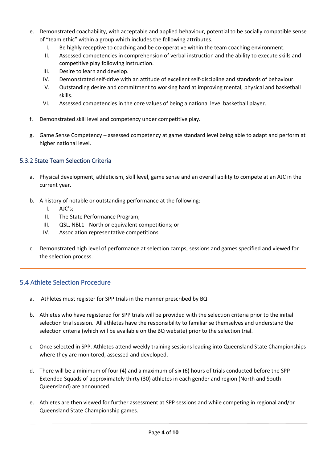- e. Demonstrated coachability, with acceptable and applied behaviour, potential to be socially compatible sense of "team ethic" within a group which includes the following attributes.
	- I. Be highly receptive to coaching and be co-operative within the team coaching environment.
	- II. Assessed competencies in comprehension of verbal instruction and the ability to execute skills and competitive play following instruction.
	- III. Desire to learn and develop.
	- IV. Demonstrated self-drive with an attitude of excellent self-discipline and standards of behaviour.
	- V. Outstanding desire and commitment to working hard at improving mental, physical and basketball skills.
	- VI. Assessed competencies in the core values of being a national level basketball player.
- f. Demonstrated skill level and competency under competitive play.
- g. Game Sense Competency assessed competency at game standard level being able to adapt and perform at higher national level.

#### <span id="page-4-0"></span>5.3.2 State Team Selection Criteria

- a. Physical development, athleticism, skill level, game sense and an overall ability to compete at an AJC in the current year.
- b. A history of notable or outstanding performance at the following:
	- I. AJC's;
	- II. The State Performance Program;
	- III. QSL, NBL1 North or equivalent competitions; or
	- IV. Association representative competitions.
- c. Demonstrated high level of performance at selection camps, sessions and games specified and viewed for the selection process.

#### <span id="page-4-1"></span>5.4 Athlete Selection Procedure

- a. Athletes must register for SPP trials in the manner prescribed by BQ.
- b. Athletes who have registered for SPP trials will be provided with the selection criteria prior to the initial selection trial session. All athletes have the responsibility to familiarise themselves and understand the selection criteria (which will be available on the BQ website) prior to the selection trial.
- c. Once selected in SPP. Athletes attend weekly training sessions leading into Queensland State Championships where they are monitored, assessed and developed.
- d. There will be a minimum of four (4) and a maximum of six (6) hours of trials conducted before the SPP Extended Squads of approximately thirty (30) athletes in each gender and region (North and South Queensland) are announced.
- e. Athletes are then viewed for further assessment at SPP sessions and while competing in regional and/or Queensland State Championship games.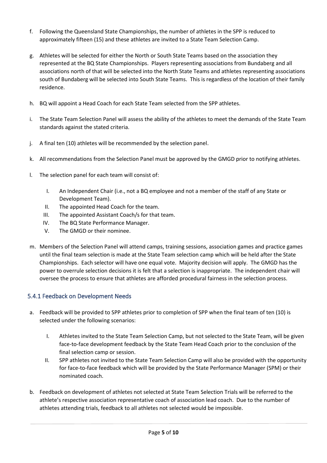- f. Following the Queensland State Championships, the number of athletes in the SPP is reduced to approximately fifteen (15) and these athletes are invited to a State Team Selection Camp.
- g. Athletes will be selected for either the North or South State Teams based on the association they represented at the BQ State Championships. Players representing associations from Bundaberg and all associations north of that will be selected into the North State Teams and athletes representing associations south of Bundaberg will be selected into South State Teams. This is regardless of the location of their family residence.
- h. BQ will appoint a Head Coach for each State Team selected from the SPP athletes.
- i. The State Team Selection Panel will assess the ability of the athletes to meet the demands of the State Team standards against the stated criteria.
- j. A final ten (10) athletes will be recommended by the selection panel.
- k. All recommendations from the Selection Panel must be approved by the GMGD prior to notifying athletes.
- l. The selection panel for each team will consist of:
	- I. An Independent Chair (i.e., not a BQ employee and not a member of the staff of any State or Development Team).
	- II. The appointed Head Coach for the team.
	- III. The appointed Assistant Coach/s for that team.
	- IV. The BQ State Performance Manager.
	- V. The GMGD or their nominee.
- m. Members of the Selection Panel will attend camps, training sessions, association games and practice games until the final team selection is made at the State Team selection camp which will be held after the State Championships. Each selector will have one equal vote. Majority decision will apply. The GMGD has the power to overrule selection decisions it is felt that a selection is inappropriate. The independent chair will oversee the process to ensure that athletes are afforded procedural fairness in the selection process.

#### <span id="page-5-0"></span>5.4.1 Feedback on Development Needs

- a. Feedback will be provided to SPP athletes prior to completion of SPP when the final team of ten (10) is selected under the following scenarios:
	- I. Athletes invited to the State Team Selection Camp, but not selected to the State Team, will be given face-to-face development feedback by the State Team Head Coach prior to the conclusion of the final selection camp or session.
	- II. SPP athletes not invited to the State Team Selection Camp will also be provided with the opportunity for face-to-face feedback which will be provided by the State Performance Manager (SPM) or their nominated coach.
- b. Feedback on development of athletes not selected at State Team Selection Trials will be referred to the athlete's respective association representative coach of association lead coach. Due to the number of athletes attending trials, feedback to all athletes not selected would be impossible.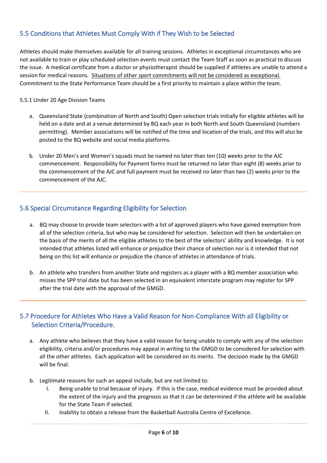# <span id="page-6-0"></span>5.5 Conditions that Athletes Must Comply With if They Wish to be Selected

Athletes should make themselves available for all training sessions. Athletes in exceptional circumstances who are not available to train or play scheduled selection events must contact the Team Staff as soon as practical to discuss the issue. A medical certificate from a doctor or physiotherapist should be supplied if athletes are unable to attend a session for medical reasons. Situations of other sport commitments will not be considered as exceptional. Commitment to the State Performance Team should be a first priority to maintain a place within the team.

#### 5.5.1 Under 20 Age Division Teams

- a. Queensland State (combination of North and South) Open selection trials initially for eligible athletes will be held on a date and at a venue determined by BQ each year in both North and South Queensland (numbers permitting). Member associations will be notified of the time and location of the trials, and this will also be posted to the BQ website and social media platforms.
- b. Under 20 Men's and Women's squads must be named no later than ten (10) weeks prior to the AJC commencement. Responsibility for Payment forms must be returned no later than eight (8) weeks prior to the commencement of the AJC and full payment must be received no later than two (2) weeks prior to the commencement of the AJC.

### <span id="page-6-1"></span>5.6 Special Circumstance Regarding Eligibility for Selection

- a. BQ may choose to provide team selectors with a list of approved players who have gained exemption from all of the selection criteria, but who may be considered for selection. Selection will then be undertaken on the basis of the merits of all the eligible athletes to the best of the selectors' ability and knowledge. It is not intended that athletes listed will enhance or prejudice their chance of selection nor is it intended that not being on this list will enhance or prejudice the chance of athletes in attendance of trials.
- b. An athlete who transfers from another State and registers as a player with a BQ member association who misses the SPP trial date but has been selected in an equivalent interstate program may register for SPP after the trial date with the approval of the GMGD.

### <span id="page-6-2"></span>5.7 Procedure for Athletes Who Have a Valid Reason for Non-Compliance With all Eligibility or Selection Criteria/Procedure.

- a. Any athlete who believes that they have a valid reason for being unable to comply with any of the selection eligibility, criteria and/or procedures may appeal in writing to the GMGD to be considered for selection with all the other athletes. Each application will be considered on its merits. The decision made by the GMGD will be final.
- b. Legitimate reasons for such an appeal include, but are not limited to:
	- I. Being unable to trial because of injury. If this is the case, medical evidence must be provided about the extent of the injury and the prognosis so that it can be determined if the athlete will be available for the State Team if selected.
	- II. Inability to obtain a release from the Basketball Australia Centre of Excellence.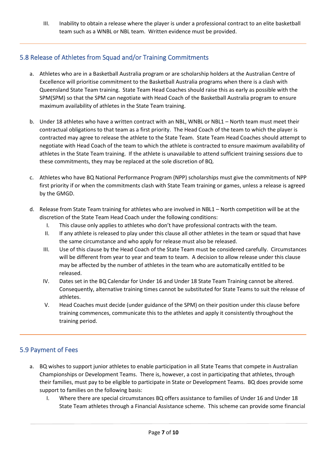III. Inability to obtain a release where the player is under a professional contract to an elite basketball team such as a WNBL or NBL team. Written evidence must be provided.

# <span id="page-7-0"></span>5.8 Release of Athletes from Squad and/or Training Commitments

- a. Athletes who are in a Basketball Australia program or are scholarship holders at the Australian Centre of Excellence will prioritise commitment to the Basketball Australia programs when there is a clash with Queensland State Team training. State Team Head Coaches should raise this as early as possible with the SPM(SPM) so that the SPM can negotiate with Head Coach of the Basketball Australia program to ensure maximum availability of athletes in the State Team training.
- b. Under 18 athletes who have a written contract with an NBL, WNBL or NBL1 North team must meet their contractual obligations to that team as a first priority. The Head Coach of the team to which the player is contracted may agree to release the athlete to the State Team. State Team Head Coaches should attempt to negotiate with Head Coach of the team to which the athlete is contracted to ensure maximum availability of athletes in the State Team training. If the athlete is unavailable to attend sufficient training sessions due to these commitments, they may be replaced at the sole discretion of BQ.
- c. Athletes who have BQ National Performance Program (NPP) scholarships must give the commitments of NPP first priority if or when the commitments clash with State Team training or games, unless a release is agreed by the GMGD.
- d. Release from State Team training for athletes who are involved in NBL1 North competition will be at the discretion of the State Team Head Coach under the following conditions:
	- I. This clause only applies to athletes who don't have professional contracts with the team.
	- II. If any athlete is released to play under this clause all other athletes in the team or squad that have the same circumstance and who apply for release must also be released.
	- III. Use of this clause by the Head Coach of the State Team must be considered carefully. Circumstances will be different from year to year and team to team. A decision to allow release under this clause may be affected by the number of athletes in the team who are automatically entitled to be released.
	- IV. Dates set in the BQ Calendar for Under 16 and Under 18 State Team Training cannot be altered. Consequently, alternative training times cannot be substituted for State Teams to suit the release of athletes.
	- V. Head Coaches must decide (under guidance of the SPM) on their position under this clause before training commences, communicate this to the athletes and apply it consistently throughout the training period.

# <span id="page-7-1"></span>5.9 Payment of Fees

- a. BQ wishes to support junior athletes to enable participation in all State Teams that compete in Australian Championships or Development Teams. There is, however, a cost in participating that athletes, through their families, must pay to be eligible to participate in State or Development Teams. BQ does provide some support to families on the following basis:
	- I. Where there are special circumstances BQ offers assistance to families of Under 16 and Under 18 State Team athletes through a Financial Assistance scheme. This scheme can provide some financial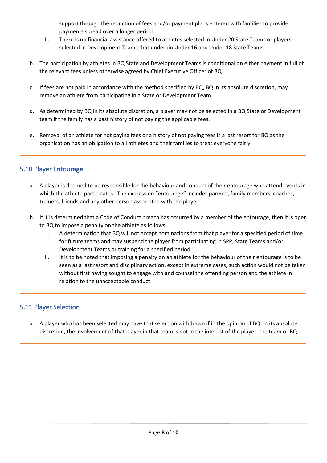support through the reduction of fees and/or payment plans entered with families to provide payments spread over a longer period.

- II. There is no financial assistance offered to athletes selected in Under 20 State Teams or players selected in Development Teams that underpin Under 16 and Under 18 State Teams.
- b. The participation by athletes in BQ State and Development Teams is conditional on either payment in full of the relevant fees unless otherwise agreed by Chief Executive Officer of BQ.
- c. If fees are not paid in accordance with the method specified by BQ, BQ in its absolute discretion, may remove an athlete from participating in a State or Development Team.
- d. As determined by BQ in its absolute discretion, a player may not be selected in a BQ State or Development team if the family has a past history of not paying the applicable fees.
- e. Removal of an athlete for not paying fees or a history of not paying fees is a last resort for BQ as the organisation has an obligation to all athletes and their families to treat everyone fairly.

#### <span id="page-8-0"></span>5.10 Player Entourage

- a. A player is deemed to be responsible for the behaviour and conduct of their entourage who attend events in which the athlete participates. The expression "entourage" includes parents, family members, coaches, trainers, friends and any other person associated with the player.
- b. If it is determined that a Code of Conduct breach has occurred by a member of the entourage, then it is open to BQ to impose a penalty on the athlete as follows:
	- I. A determination that BQ will not accept nominations from that player for a specified period of time for future teams and may suspend the player from participating in SPP, State Teams and/or Development Teams or training for a specified period.
	- II. It is to be noted that imposing a penalty on an athlete for the behaviour of their entourage is to be seen as a last resort and disciplinary action, except in extreme cases, such action would not be taken without first having sought to engage with and counsel the offending person and the athlete in relation to the unacceptable conduct.

#### <span id="page-8-1"></span>5.11 Player Selection

a. A player who has been selected may have that selection withdrawn if in the opinion of BQ, in its absolute discretion, the involvement of that player in that team is not in the interest of the player, the team or BQ.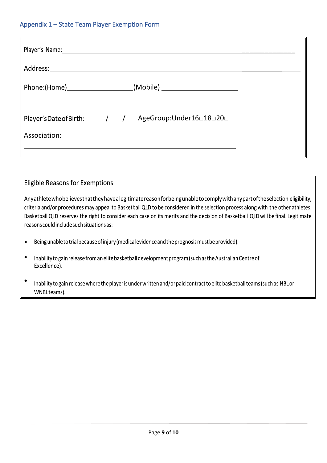#### <span id="page-9-0"></span>Appendix 1 – State Team Player Exemption Form

| Player's Name: 1990 1991 1992 1994    |  |                                                    |  |
|---------------------------------------|--|----------------------------------------------------|--|
| Address: ____________________________ |  |                                                    |  |
|                                       |  | Phone:(Home) (Mobile) (Mobile)                     |  |
| Association:                          |  | Player'sDate of Birth: / / AgeGroup:Under16□18□20□ |  |

### **Eligible Reasons for Exemptions**

Anyathlete who believes that they have a legitimate reason for being unableto comply with any part of the selection eligibility, criteria and/or procedures may appeal to Basketball QLD to be considered in the selection process along with the other athletes. Basketball QLD reserves the right to consider each case on its merits and the decision of Basketball QLD will be final. Legitimate reasons could include such situations as:

- Being unable to trial because of injury (medical evidence and the prognosis must be provided).  $\bullet$
- $\bullet$ Inability to gain release from an elite basketball development program (such as the Australian Centre of Excellence).
- $\bullet$ Inability to gain release where the player is under written and/or paid contract to elite basketball teams (such as NBL or WNBLteams).